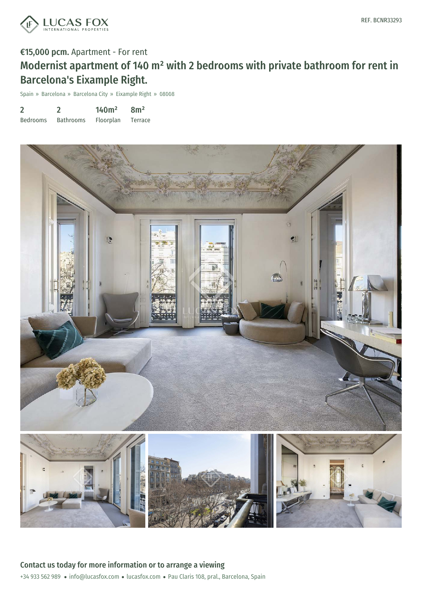

### €15,000 pcm. Apartment - For rent

# Modernist apartment of 140 m² with 2 bedrooms with private bathroom for rent in Barcelona's Eixample Right.

Spain » Barcelona » Barcelona City » Eixample Right » 08008

| $\overline{2}$  |                  | 140m <sup>2</sup> | 8m <sup>2</sup> |
|-----------------|------------------|-------------------|-----------------|
| <b>Bedrooms</b> | <b>Bathrooms</b> | Floorplan         | Terrace         |

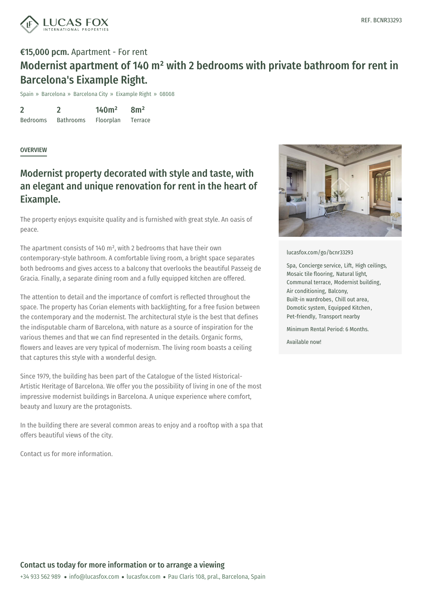

## €15,000 pcm. Apartment - For rent Modernist apartment of 140 m² with 2 bedrooms with private bathroom for rent in Barcelona's Eixample Right.

Spain » Barcelona » Barcelona City » Eixample Right » 08008

2 Bedrooms  $\mathfrak{D}$ Bathrooms 140m² Floorplan 8m² Terrace

### **OVERVIEW**

### Modernist property decorated with style and taste, with an elegant and unique renovation for rent in the heart of Eixample.

The property enjoys exquisite quality and is furnished with great style. An oasis of peace.

The apartment consists of 140 m², with 2 bedrooms that have their own contemporary-style bathroom. A comfortable living room, a bright space separates both bedrooms and gives access to a balcony that overlooks the beautiful Passeig de Gracia. Finally, a separate dining room and a fully equipped kitchen are offered.

The attention to detail and the importance of comfort is reflected throughout the space. The property has Corian elements with backlighting, for a free fusion between the contemporary and the modernist. The architectural style is the best that defines the indisputable charm of Barcelona, with nature as a source of inspiration for the various themes and that we can find represented in the details. Organic forms, flowers and leaves are very typical of modernism. The living room boasts a ceiling that captures this style with a wonderful design.

Since 1979, the building has been part of the Catalogue of the listed Historical-Artistic Heritage of Barcelona. We offer you the possibility of living in one of the most impressive modernist buildings in Barcelona. A unique experience where comfort, beauty and luxury are the protagonists.

In the building there are several common [areas](https://www.lucasfox.com) to enjoy and a rooftop with a spa that offers beautiful v[iews](mailto:info@lucasfox.com) of the city.

Contact us for more information.



#### [lucasfox.com/go/bcnr33293](https://www.lucasfox.com/go/bcnr33293)

Spa, Concierge service, Lift, High ceilings, Mosaic tile flooring, Natural light, Communal terrace, Modernist building, Air conditioning, Balcony, Built-in wardrobes, Chill out area, Domotic system, Equipped Kitchen, Pet-friendly, Transport nearby

Minimum Rental Period: 6 Months.

Available now!